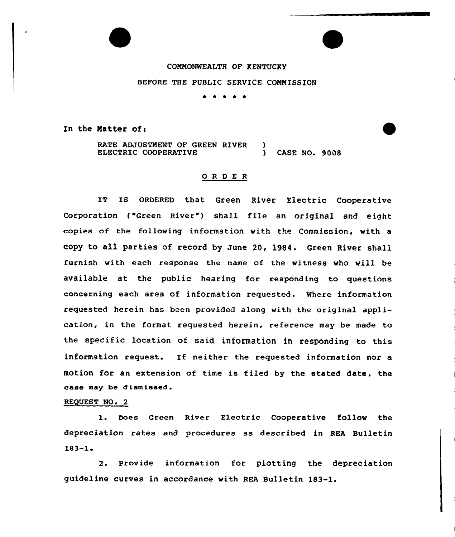## COMMONWEALTH OF KENTUCKY

## BEFORE THE PUBLIC SERVICE COMMISSION

\* \* \* \* \*

In the Matter of:

RATE ADJUSTMENT OF GREEN RIVER ELECTRIC COOPERATIVE  $\mathbf{A}$ ) CASE NO. 9008

## 0 <sup>R</sup> <sup>D</sup> E <sup>R</sup>

IT IS ORDERED that Green River Electric Cooperative Corporation ("Green River") shall file an original and eight copies of the following information with the Commission, with a copy to all parties of record by June 20, 1984. Green River shall furnish with each response the name of the witness who will be available at the public hearing for responding to questions concerning each area of information requested. %here information requested herein has been provided along with the original application, in the format requested herein, reference may be made to the specific location of said information in responding to this information request. If neither the requested information nor <sup>a</sup> motion for an extension of time is filed by the stated date, the case may he dismissed.

## REQUEST NO. 2

1. Does Green River Electric Cooperative follow the depreciation rates and procedures as described in REA Bulletin  $183 - 1.$ 

2. Provide information for plotting the depreciation guideline curves in accordance with REA Bulletin 183-1.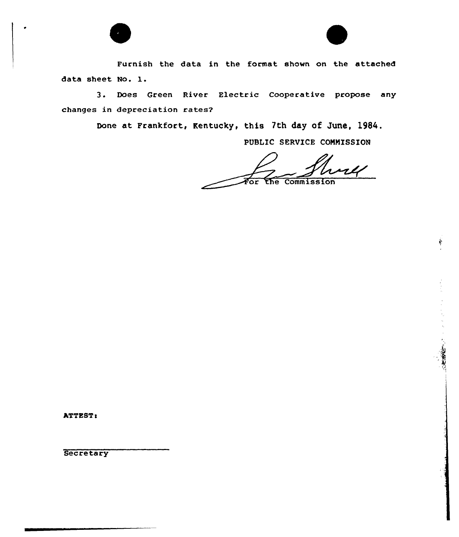



**RECONNECTION** 

Furnish the data in the format shown on the attached data sheet No. l.

3. Does Green River Electric Cooperative propose any changes in depreciation rates?

Done at Frankfort, Kentucky, this 7th day of June, 1984.

PUBLIC SERVICE COMMISSION

 $\overline{u}$ or Commission

ATTEST:

**Secretary**